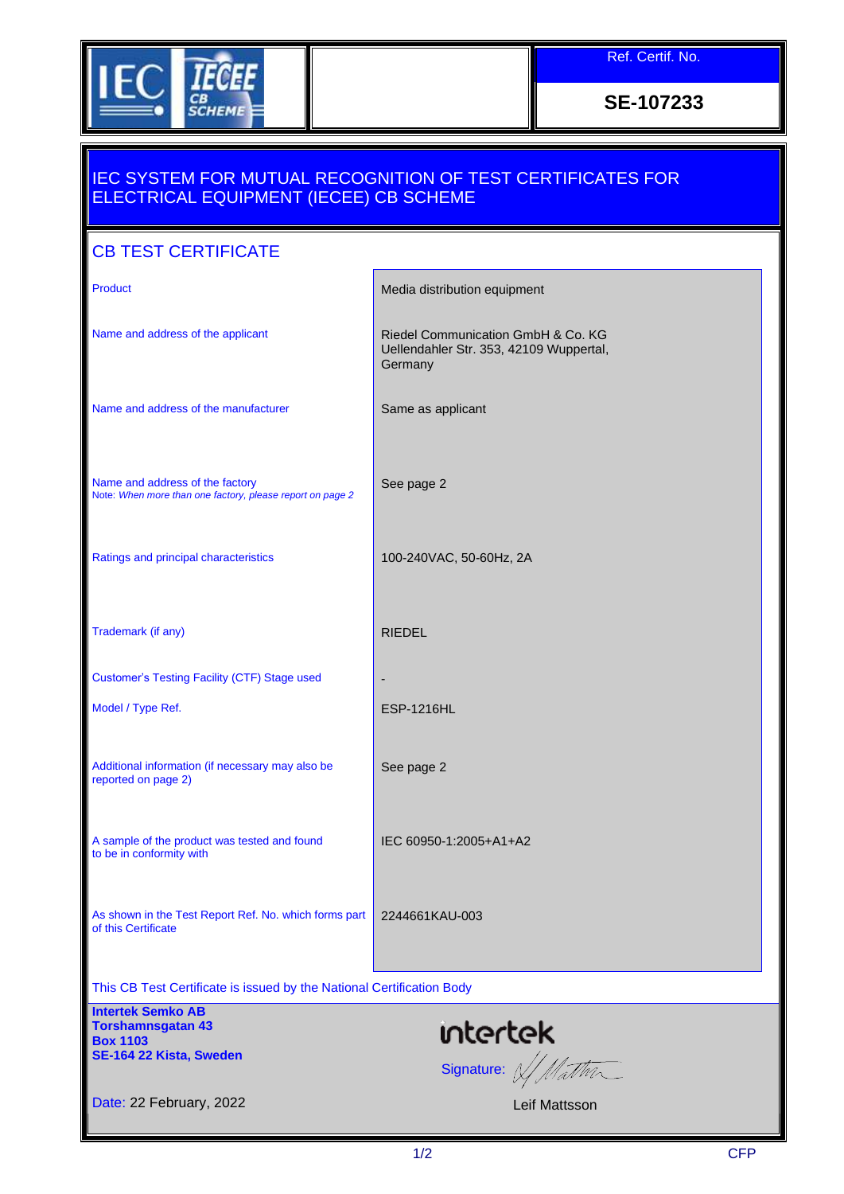

Ref. Certif. No.

**SE-107233**

## IEC SYSTEM FOR MUTUAL RECOGNITION OF TEST CERTIFICATES FOR ELECTRICAL EQUIPMENT (IECEE) CB SCHEME

| <b>CB TEST CERTIFICATE</b>                                                                         |                                                                                          |
|----------------------------------------------------------------------------------------------------|------------------------------------------------------------------------------------------|
| <b>Product</b>                                                                                     | Media distribution equipment                                                             |
| Name and address of the applicant                                                                  | Riedel Communication GmbH & Co. KG<br>Uellendahler Str. 353, 42109 Wuppertal,<br>Germany |
| Name and address of the manufacturer                                                               | Same as applicant                                                                        |
| Name and address of the factory<br>Note: When more than one factory, please report on page 2       | See page 2                                                                               |
| Ratings and principal characteristics                                                              | 100-240VAC, 50-60Hz, 2A                                                                  |
| Trademark (if any)                                                                                 | <b>RIEDEL</b>                                                                            |
| <b>Customer's Testing Facility (CTF) Stage used</b>                                                |                                                                                          |
| Model / Type Ref.                                                                                  | <b>ESP-1216HL</b>                                                                        |
| Additional information (if necessary may also be<br>reported on page 2)                            | See page 2                                                                               |
| A sample of the product was tested and found<br>to be in conformity with                           | IEC 60950-1:2005+A1+A2                                                                   |
| As shown in the Test Report Ref. No. which forms part<br>of this Certificate                       | 2244661KAU-003                                                                           |
| This CB Test Certificate is issued by the National Certification Body                              |                                                                                          |
| <b>Intertek Semko AB</b><br><b>Torshamnsgatan 43</b><br><b>Box 1103</b><br>SE-164 22 Kista, Sweden | ntertek<br>Signature: W/Mathr                                                            |
| Date: 22 February, 2022                                                                            | Leif Mattsson                                                                            |